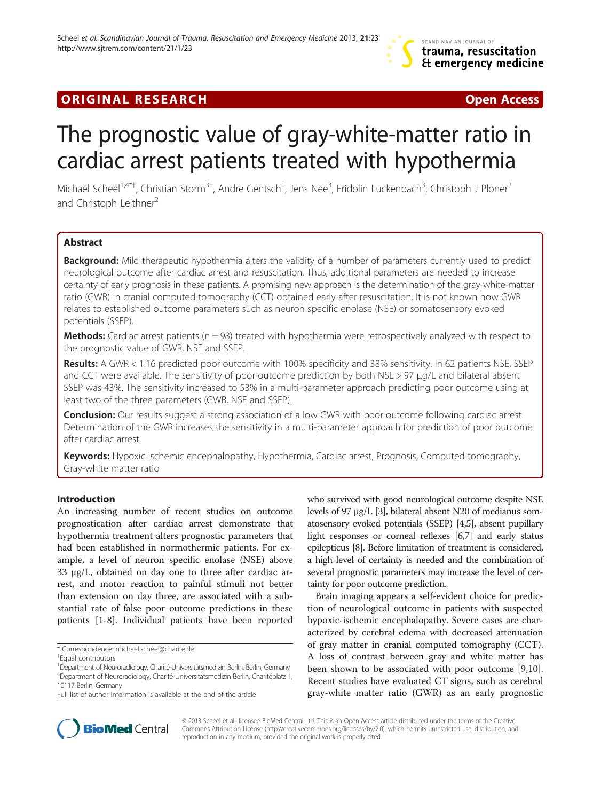# **ORIGINAL RESEARCH CONSUMING A RESEARCH CONSUMING A RESEARCH**

# The prognostic value of gray-white-matter ratio in cardiac arrest patients treated with hypothermia

Michael Scheel<sup>1,4\*†</sup>, Christian Storm<sup>3†</sup>, Andre Gentsch<sup>1</sup>, Jens Nee<sup>3</sup>, Fridolin Luckenbach<sup>3</sup>, Christoph J Ploner<sup>2</sup> and Christoph Leithner<sup>2</sup>

# Abstract

Background: Mild therapeutic hypothermia alters the validity of a number of parameters currently used to predict neurological outcome after cardiac arrest and resuscitation. Thus, additional parameters are needed to increase certainty of early prognosis in these patients. A promising new approach is the determination of the gray-white-matter ratio (GWR) in cranial computed tomography (CCT) obtained early after resuscitation. It is not known how GWR relates to established outcome parameters such as neuron specific enolase (NSE) or somatosensory evoked potentials (SSEP).

**Methods:** Cardiac arrest patients ( $n = 98$ ) treated with hypothermia were retrospectively analyzed with respect to the prognostic value of GWR, NSE and SSEP.

Results: A GWR < 1.16 predicted poor outcome with 100% specificity and 38% sensitivity. In 62 patients NSE, SSEP and CCT were available. The sensitivity of poor outcome prediction by both NSE > 97 μg/L and bilateral absent SSEP was 43%. The sensitivity increased to 53% in a multi-parameter approach predicting poor outcome using at least two of the three parameters (GWR, NSE and SSEP).

**Conclusion:** Our results suggest a strong association of a low GWR with poor outcome following cardiac arrest. Determination of the GWR increases the sensitivity in a multi-parameter approach for prediction of poor outcome after cardiac arrest.

Keywords: Hypoxic ischemic encephalopathy, Hypothermia, Cardiac arrest, Prognosis, Computed tomography, Gray-white matter ratio

### Introduction

An increasing number of recent studies on outcome prognostication after cardiac arrest demonstrate that hypothermia treatment alters prognostic parameters that had been established in normothermic patients. For example, a level of neuron specific enolase (NSE) above 33 μg/L, obtained on day one to three after cardiac arrest, and motor reaction to painful stimuli not better than extension on day three, are associated with a substantial rate of false poor outcome predictions in these patients [[1-8](#page-6-0)]. Individual patients have been reported who survived with good neurological outcome despite NSE levels of 97 μg/L [[3\]](#page-6-0), bilateral absent N20 of medianus somatosensory evoked potentials (SSEP) [\[4,5\]](#page-6-0), absent pupillary light responses or corneal reflexes [\[6,7](#page-6-0)] and early status epilepticus [\[8\]](#page-6-0). Before limitation of treatment is considered, a high level of certainty is needed and the combination of several prognostic parameters may increase the level of certainty for poor outcome prediction.

Brain imaging appears a self-evident choice for prediction of neurological outcome in patients with suspected hypoxic-ischemic encephalopathy. Severe cases are characterized by cerebral edema with decreased attenuation of gray matter in cranial computed tomography (CCT). A loss of contrast between gray and white matter has been shown to be associated with poor outcome [\[9,10](#page-6-0)]. Recent studies have evaluated CT signs, such as cerebral gray-white matter ratio (GWR) as an early prognostic



© 2013 Scheel et al.; licensee BioMed Central Ltd. This is an Open Access article distributed under the terms of the Creative Commons Attribution License [\(http://creativecommons.org/licenses/by/2.0\)](http://creativecommons.org/licenses/by/2.0), which permits unrestricted use, distribution, and reproduction in any medium, provided the original work is properly cited.

<sup>\*</sup> Correspondence: [michael.scheel@charite.de](mailto:michael.scheel@charite.de) †

Equal contributors

<sup>1</sup> Department of Neuroradiology, Charité-Universitätsmedizin Berlin, Berlin, Germany 4 Department of Neuroradiology, Charité-Universitätsmedizin Berlin, Charitéplatz 1, 10117 Berlin, Germany

Full list of author information is available at the end of the article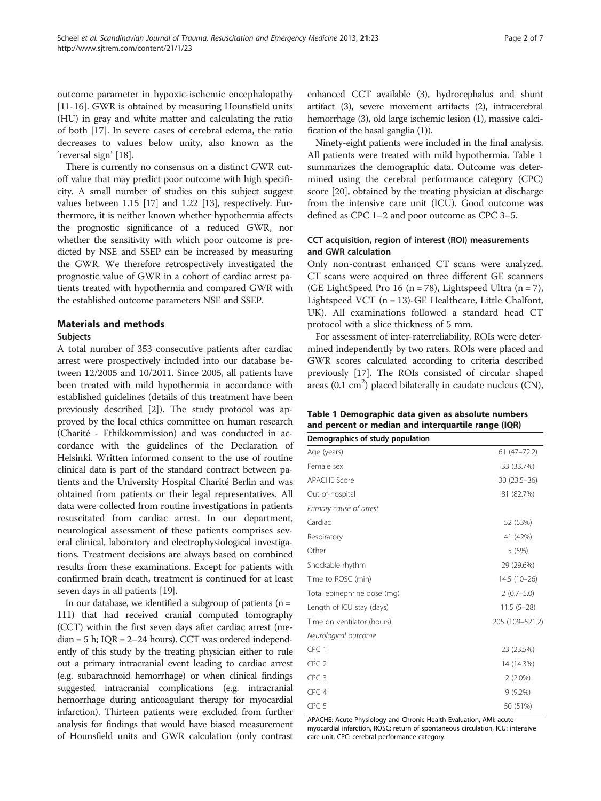outcome parameter in hypoxic-ischemic encephalopathy [[11-16](#page-6-0)]. GWR is obtained by measuring Hounsfield units (HU) in gray and white matter and calculating the ratio of both [\[17](#page-6-0)]. In severe cases of cerebral edema, the ratio decreases to values below unity, also known as the 'reversal sign' [[18](#page-6-0)].

There is currently no consensus on a distinct GWR cutoff value that may predict poor outcome with high specificity. A small number of studies on this subject suggest values between 1.15 [[17](#page-6-0)] and 1.22 [\[13\]](#page-6-0), respectively. Furthermore, it is neither known whether hypothermia affects the prognostic significance of a reduced GWR, nor whether the sensitivity with which poor outcome is predicted by NSE and SSEP can be increased by measuring the GWR. We therefore retrospectively investigated the prognostic value of GWR in a cohort of cardiac arrest patients treated with hypothermia and compared GWR with the established outcome parameters NSE and SSEP.

#### Materials and methods

#### Subjects

A total number of 353 consecutive patients after cardiac arrest were prospectively included into our database between 12/2005 and 10/2011. Since 2005, all patients have been treated with mild hypothermia in accordance with established guidelines (details of this treatment have been previously described [[2\]](#page-6-0)). The study protocol was approved by the local ethics committee on human research (Charité - Ethikkommission) and was conducted in accordance with the guidelines of the Declaration of Helsinki. Written informed consent to the use of routine clinical data is part of the standard contract between patients and the University Hospital Charité Berlin and was obtained from patients or their legal representatives. All data were collected from routine investigations in patients resuscitated from cardiac arrest. In our department, neurological assessment of these patients comprises several clinical, laboratory and electrophysiological investigations. Treatment decisions are always based on combined results from these examinations. Except for patients with confirmed brain death, treatment is continued for at least seven days in all patients [\[19\]](#page-6-0).

In our database, we identified a subgroup of patients  $(n =$ 111) that had received cranial computed tomography (CCT) within the first seven days after cardiac arrest (me $dian = 5$  h;  $IQR = 2-24$  hours). CCT was ordered independently of this study by the treating physician either to rule out a primary intracranial event leading to cardiac arrest (e.g. subarachnoid hemorrhage) or when clinical findings suggested intracranial complications (e.g. intracranial hemorrhage during anticoagulant therapy for myocardial infarction). Thirteen patients were excluded from further analysis for findings that would have biased measurement of Hounsfield units and GWR calculation (only contrast

enhanced CCT available (3), hydrocephalus and shunt artifact (3), severe movement artifacts (2), intracerebral hemorrhage (3), old large ischemic lesion (1), massive calcification of the basal ganglia (1)).

Ninety-eight patients were included in the final analysis. All patients were treated with mild hypothermia. Table 1 summarizes the demographic data. Outcome was determined using the cerebral performance category (CPC) score [[20\]](#page-6-0), obtained by the treating physician at discharge from the intensive care unit (ICU). Good outcome was defined as CPC 1–2 and poor outcome as CPC 3–5.

# CCT acquisition, region of interest (ROI) measurements and GWR calculation

Only non-contrast enhanced CT scans were analyzed. CT scans were acquired on three different GE scanners (GE LightSpeed Pro 16 ( $n = 78$ ), Lightspeed Ultra ( $n = 7$ ), Lightspeed VCT  $(n = 13)$ -GE Healthcare, Little Chalfont, UK). All examinations followed a standard head CT protocol with a slice thickness of 5 mm.

For assessment of inter-raterreliability, ROIs were determined independently by two raters. ROIs were placed and GWR scores calculated according to criteria described previously [[17](#page-6-0)]. The ROIs consisted of circular shaped areas  $(0.1 \text{ cm}^2)$  placed bilaterally in caudate nucleus (CN),

| Table 1 Demographic data given as absolute numbers  |  |
|-----------------------------------------------------|--|
| and percent or median and interquartile range (IQR) |  |

| Demographics of study population |                 |
|----------------------------------|-----------------|
| Age (years)                      | $61(47 - 72.2)$ |
| Female sex                       | 33 (33.7%)      |
| <b>APACHE Score</b>              | $30(23.5 - 36)$ |
| Out-of-hospital                  | 81 (82.7%)      |
| Primary cause of arrest          |                 |
| Cardiac                          | 52 (53%)        |
| Respiratory                      | 41 (42%)        |
| Other                            | 5(5%)           |
| Shockable rhythm                 | 29 (29.6%)      |
| Time to ROSC (min)               | $14.5(10-26)$   |
| Total epinephrine dose (mg)      | $2(0.7-5.0)$    |
| Length of ICU stay (days)        | $11.5(5-28)$    |
| Time on ventilator (hours)       | 205 (109-521.2) |
| Neurological outcome             |                 |
| CPC <sub>1</sub>                 | 23 (23.5%)      |
| CPC <sub>2</sub>                 | 14 (14.3%)      |
| CPC <sub>3</sub>                 | $2(2.0\%)$      |
| CPC <sub>4</sub>                 | $9(9.2\%)$      |
| CPC <sub>5</sub>                 | 50 (51%)        |

APACHE: Acute Physiology and Chronic Health Evaluation, AMI: acute myocardial infarction, ROSC: return of spontaneous circulation, ICU: intensive care unit, CPC: cerebral performance category.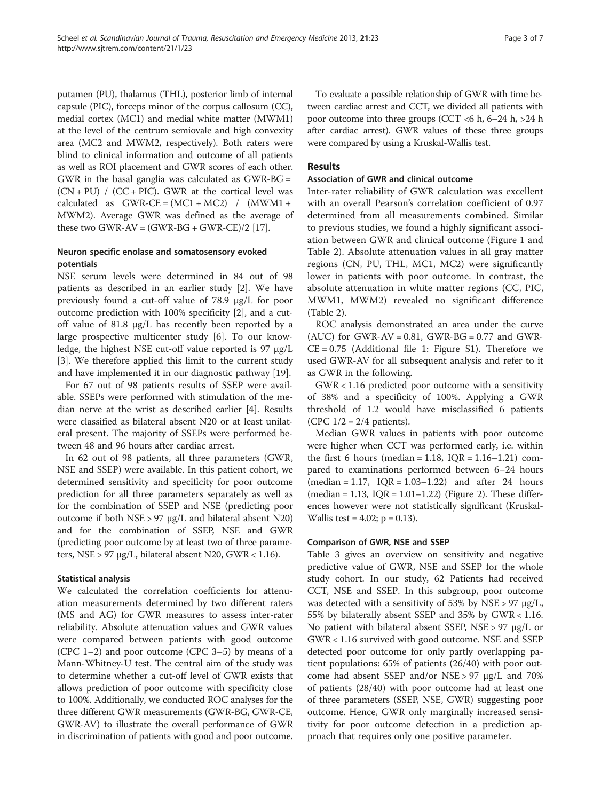putamen (PU), thalamus (THL), posterior limb of internal capsule (PIC), forceps minor of the corpus callosum (CC), medial cortex (MC1) and medial white matter (MWM1) at the level of the centrum semiovale and high convexity area (MC2 and MWM2, respectively). Both raters were blind to clinical information and outcome of all patients as well as ROI placement and GWR scores of each other. GWR in the basal ganglia was calculated as GWR-BG =  $(CN + PU)$  /  $(CC + PIC)$ . GWR at the cortical level was calculated as  $GWR-CE = (MC1 + MC2)$  /  $(MWM1 +$ MWM2). Average GWR was defined as the average of these two GWR-AV =  $(GWR-BG + GWR-CE)/2$  [\[17\]](#page-6-0).

# Neuron specific enolase and somatosensory evoked potentials

NSE serum levels were determined in 84 out of 98 patients as described in an earlier study [[2\]](#page-6-0). We have previously found a cut-off value of 78.9 μg/L for poor outcome prediction with 100% specificity [\[2](#page-6-0)], and a cutoff value of 81.8 μg/L has recently been reported by a large prospective multicenter study [\[6](#page-6-0)]. To our knowledge, the highest NSE cut-off value reported is 97 μg/L [[3\]](#page-6-0). We therefore applied this limit to the current study and have implemented it in our diagnostic pathway [\[19](#page-6-0)].

For 67 out of 98 patients results of SSEP were available. SSEPs were performed with stimulation of the median nerve at the wrist as described earlier [[4\]](#page-6-0). Results were classified as bilateral absent N20 or at least unilateral present. The majority of SSEPs were performed between 48 and 96 hours after cardiac arrest.

In 62 out of 98 patients, all three parameters (GWR, NSE and SSEP) were available. In this patient cohort, we determined sensitivity and specificity for poor outcome prediction for all three parameters separately as well as for the combination of SSEP and NSE (predicting poor outcome if both NSE > 97 μg/L and bilateral absent N20) and for the combination of SSEP, NSE and GWR (predicting poor outcome by at least two of three parameters, NSE > 97 μg/L, bilateral absent N20, GWR < 1.16).

### Statistical analysis

We calculated the correlation coefficients for attenuation measurements determined by two different raters (MS and AG) for GWR measures to assess inter-rater reliability. Absolute attenuation values and GWR values were compared between patients with good outcome (CPC 1–2) and poor outcome (CPC 3–5) by means of a Mann-Whitney-U test. The central aim of the study was to determine whether a cut-off level of GWR exists that allows prediction of poor outcome with specificity close to 100%. Additionally, we conducted ROC analyses for the three different GWR measurements (GWR-BG, GWR-CE, GWR-AV) to illustrate the overall performance of GWR in discrimination of patients with good and poor outcome.

To evaluate a possible relationship of GWR with time between cardiac arrest and CCT, we divided all patients with poor outcome into three groups (CCT  $< 6$  h,  $6-24$  h,  $> 24$  h after cardiac arrest). GWR values of these three groups were compared by using a Kruskal-Wallis test.

## Results

#### Association of GWR and clinical outcome

Inter-rater reliability of GWR calculation was excellent with an overall Pearson's correlation coefficient of 0.97 determined from all measurements combined. Similar to previous studies, we found a highly significant association between GWR and clinical outcome (Figure [1](#page-3-0) and Table [2\)](#page-3-0). Absolute attenuation values in all gray matter regions (CN, PU, THL, MC1, MC2) were significantly lower in patients with poor outcome. In contrast, the absolute attenuation in white matter regions (CC, PIC, MWM1, MWM2) revealed no significant difference (Table [2](#page-3-0)).

ROC analysis demonstrated an area under the curve  $(AUC)$  for GWR-AV = 0.81, GWR-BG = 0.77 and GWR- $CE = 0.75$  (Additional file [1:](#page-6-0) Figure S1). Therefore we used GWR-AV for all subsequent analysis and refer to it as GWR in the following.

GWR < 1.16 predicted poor outcome with a sensitivity of 38% and a specificity of 100%. Applying a GWR threshold of 1.2 would have misclassified 6 patients (CPC  $1/2 = 2/4$  patients).

Median GWR values in patients with poor outcome were higher when CCT was performed early, i.e. within the first 6 hours (median =  $1.18$ ,  $IQR = 1.16 - 1.21$ ) compared to examinations performed between 6–24 hours  $(median = 1.17, IQR = 1.03-1.22)$  and after 24 hours  $(median = 1.13, IQR = 1.01-1.22)$  (Figure [2\)](#page-4-0). These differences however were not statistically significant (Kruskal-Wallis test =  $4.02$ ; p = 0.13).

### Comparison of GWR, NSE and SSEP

Table [3](#page-4-0) gives an overview on sensitivity and negative predictive value of GWR, NSE and SSEP for the whole study cohort. In our study, 62 Patients had received CCT, NSE and SSEP. In this subgroup, poor outcome was detected with a sensitivity of 53% by NSE > 97  $\mu$ g/L, 55% by bilaterally absent SSEP and 35% by GWR < 1.16. No patient with bilateral absent SSEP, NSE > 97 μg/L or GWR < 1.16 survived with good outcome. NSE and SSEP detected poor outcome for only partly overlapping patient populations: 65% of patients (26/40) with poor outcome had absent SSEP and/or NSE > 97 μg/L and 70% of patients (28/40) with poor outcome had at least one of three parameters (SSEP, NSE, GWR) suggesting poor outcome. Hence, GWR only marginally increased sensitivity for poor outcome detection in a prediction approach that requires only one positive parameter.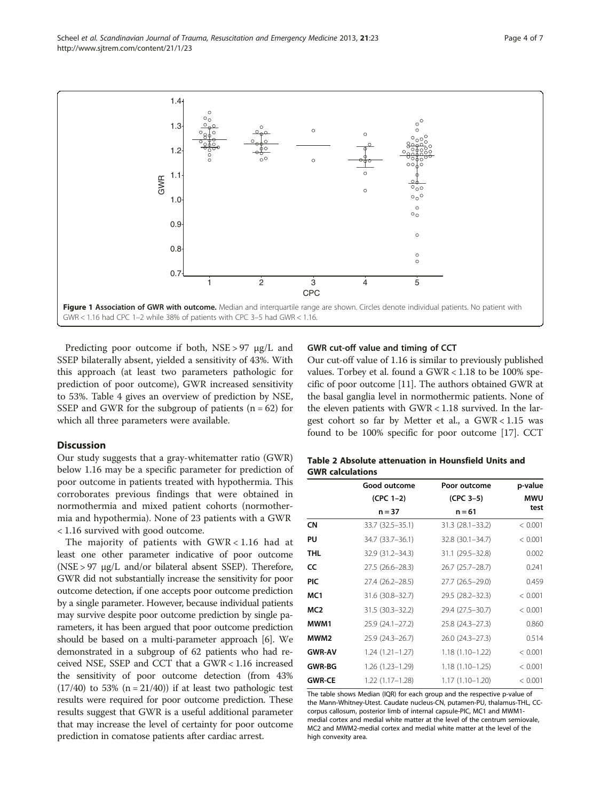<span id="page-3-0"></span>

Predicting poor outcome if both, NSE > 97 μg/L and SSEP bilaterally absent, yielded a sensitivity of 43%. With this approach (at least two parameters pathologic for prediction of poor outcome), GWR increased sensitivity to 53%. Table [4](#page-5-0) gives an overview of prediction by NSE, SSEP and GWR for the subgroup of patients  $(n = 62)$  for which all three parameters were available.

#### **Discussion**

Our study suggests that a gray-whitematter ratio (GWR) below 1.16 may be a specific parameter for prediction of poor outcome in patients treated with hypothermia. This corroborates previous findings that were obtained in normothermia and mixed patient cohorts (normothermia and hypothermia). None of 23 patients with a GWR < 1.16 survived with good outcome.

The majority of patients with GWR < 1.16 had at least one other parameter indicative of poor outcome (NSE > 97 μg/L and/or bilateral absent SSEP). Therefore, GWR did not substantially increase the sensitivity for poor outcome detection, if one accepts poor outcome prediction by a single parameter. However, because individual patients may survive despite poor outcome prediction by single parameters, it has been argued that poor outcome prediction should be based on a multi-parameter approach [\[6](#page-6-0)]. We demonstrated in a subgroup of 62 patients who had received NSE, SSEP and CCT that a GWR < 1.16 increased the sensitivity of poor outcome detection (from 43%  $(17/40)$  to 53%  $(n = 21/40)$  if at least two pathologic test results were required for poor outcome prediction. These results suggest that GWR is a useful additional parameter that may increase the level of certainty for poor outcome prediction in comatose patients after cardiac arrest.

#### GWR cut-off value and timing of CCT

Our cut-off value of 1.16 is similar to previously published values. Torbey et al. found a GWR < 1.18 to be 100% specific of poor outcome [[11](#page-6-0)]. The authors obtained GWR at the basal ganglia level in normothermic patients. None of the eleven patients with GWR < 1.18 survived. In the largest cohort so far by Metter et al., a GWR < 1.15 was found to be 100% specific for poor outcome [[17](#page-6-0)]. CCT

| Table 2 Absolute attenuation in Hounsfield Units and |  |  |
|------------------------------------------------------|--|--|
| <b>GWR calculations</b>                              |  |  |

|                  | Good outcome        | Poor outcome        | p-value    |  |
|------------------|---------------------|---------------------|------------|--|
|                  | $(CPC 1-2)$         | $(CPC 3-5)$         | <b>MWU</b> |  |
|                  | $n = 37$            | $n = 61$            | test       |  |
| CΝ               | 33.7 (32.5 - 35.1)  | $31.3(28.1 - 33.2)$ | < 0.001    |  |
| PU               | 34.7 (33.7 - 36.1)  | $32.8(30.1 - 34.7)$ | < 0.001    |  |
| THL              | 32.9 (31.2–34.3)    | 31.1 (29.5–32.8)    | 0.002      |  |
| CC               | 27.5 (26.6–28.3)    | 26.7 (25.7–28.7)    | 0.241      |  |
| <b>PIC</b>       | 27.4 (26.2–28.5)    | 27.7 (26.5–29.0)    | 0.459      |  |
| MC1              | 31.6 (30.8-32.7)    | 29.5 (28.2-32.3)    | < 0.001    |  |
| MC <sub>2</sub>  | $31.5(30.3 - 32.2)$ | 29.4 (27.5–30.7)    | < 0.001    |  |
| MWM1             | 25.9 (24.1–27.2)    | $25.8(24.3 - 27.3)$ | 0.860      |  |
| MWM <sub>2</sub> | 25.9 (24.3–26.7)    | $26.0(24.3-27.3)$   | 0.514      |  |
| <b>GWR-AV</b>    | $1.24(1.21 - 1.27)$ | $1.18(1.10-1.22)$   | < 0.001    |  |
| <b>GWR-BG</b>    | $1.26(1.23 - 1.29)$ | $1.18(1.10 - 1.25)$ | < 0.001    |  |
| <b>GWR-CE</b>    | $1.22(1.17-1.28)$   | $1.17(1.10-1.20)$   | < 0.001    |  |

The table shows Median (IQR) for each group and the respective p-value of the Mann-Whitney-Utest. Caudate nucleus-CN, putamen-PU, thalamus-THL, CCcorpus callosum, posterior limb of internal capsule-PIC, MC1 and MWM1 medial cortex and medial white matter at the level of the centrum semiovale, MC2 and MWM2-medial cortex and medial white matter at the level of the high convexity area.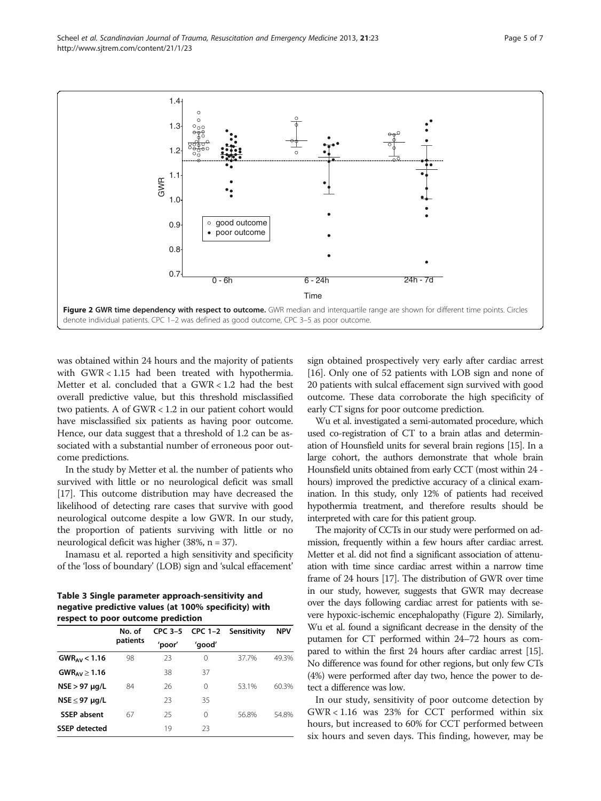<span id="page-4-0"></span>Scheel et al. Scandinavian Journal of Trauma, Resuscitation and Emergency Medicine 2013, 21:23 Page 5 of 7 http://www.sjtrem.com/content/21/1/23



denote individual patients. CPC 1–2 was defined as good outcome, CPC 3–5 as poor outcome.

was obtained within 24 hours and the majority of patients with GWR < 1.15 had been treated with hypothermia. Metter et al. concluded that a GWR < 1.2 had the best overall predictive value, but this threshold misclassified two patients. A of GWR < 1.2 in our patient cohort would have misclassified six patients as having poor outcome. Hence, our data suggest that a threshold of 1.2 can be associated with a substantial number of erroneous poor outcome predictions.

In the study by Metter et al. the number of patients who survived with little or no neurological deficit was small [[17](#page-6-0)]. This outcome distribution may have decreased the likelihood of detecting rare cases that survive with good neurological outcome despite a low GWR. In our study, the proportion of patients surviving with little or no neurological deficit was higher (38%, n = 37).

Inamasu et al. reported a high sensitivity and specificity of the 'loss of boundary' (LOB) sign and 'sulcal effacement'

Table 3 Single parameter approach-sensitivity and negative predictive values (at 100% specificity) with respect to poor outcome prediction

| No. of   |        |        |       | <b>NPV</b>                  |
|----------|--------|--------|-------|-----------------------------|
| patients | 'poor' | 'good' |       |                             |
| 98       | 23     | 0      | 37.7% | 49.3%                       |
|          | 38     | 37     |       |                             |
| 84       | 26     | 0      | 53.1% | 60.3%                       |
|          | 23     | 35     |       |                             |
| 67       | 25     | 0      | 56.8% | 54.8%                       |
|          | 19     | 23     |       |                             |
|          |        |        |       | CPC 3-5 CPC 1-2 Sensitivity |

sign obtained prospectively very early after cardiac arrest [[16](#page-6-0)]. Only one of 52 patients with LOB sign and none of 20 patients with sulcal effacement sign survived with good outcome. These data corroborate the high specificity of early CT signs for poor outcome prediction.

Wu et al. investigated a semi-automated procedure, which used co-registration of CT to a brain atlas and determination of Hounsfield units for several brain regions [[15\]](#page-6-0). In a large cohort, the authors demonstrate that whole brain Hounsfield units obtained from early CCT (most within 24 hours) improved the predictive accuracy of a clinical examination. In this study, only 12% of patients had received hypothermia treatment, and therefore results should be interpreted with care for this patient group.

The majority of CCTs in our study were performed on admission, frequently within a few hours after cardiac arrest. Metter et al. did not find a significant association of attenuation with time since cardiac arrest within a narrow time frame of 24 hours [\[17\]](#page-6-0). The distribution of GWR over time in our study, however, suggests that GWR may decrease over the days following cardiac arrest for patients with severe hypoxic-ischemic encephalopathy (Figure 2). Similarly, Wu et al. found a significant decrease in the density of the putamen for CT performed within 24–72 hours as compared to within the first 24 hours after cardiac arrest [\[15](#page-6-0)]. No difference was found for other regions, but only few CTs (4%) were performed after day two, hence the power to detect a difference was low.

In our study, sensitivity of poor outcome detection by GWR < 1.16 was 23% for CCT performed within six hours, but increased to 60% for CCT performed between six hours and seven days. This finding, however, may be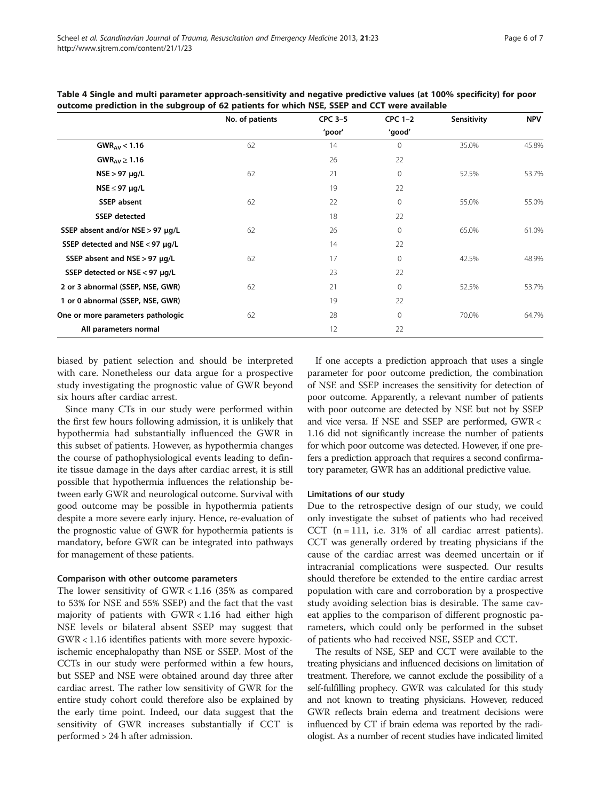|                                      | No. of patients | CPC 3-5 | $CPC 1-2$    | Sensitivity | <b>NPV</b> |
|--------------------------------------|-----------------|---------|--------------|-------------|------------|
|                                      |                 | 'poor'  | 'good'       |             |            |
| $GWR_{AV}$ < 1.16                    | 62              | 14      | $\mathbf{0}$ | 35.0%       | 45.8%      |
| GWR <sub>AV</sub> $\geq$ 1.16        |                 | 26      | 22           |             |            |
| $NSE > 97 \mu g/L$                   | 62              | 21      | $\mathbf{0}$ | 52.5%       | 53.7%      |
| $NSE \leq 97 \mu g/L$                |                 | 19      | 22           |             |            |
| <b>SSEP</b> absent                   | 62              | 22      | $\mathbf{0}$ | 55.0%       | 55.0%      |
| <b>SSEP</b> detected                 |                 | 18      | 22           |             |            |
| SSEP absent and/or NSE > 97 µg/L     | 62              | 26      | $\mathbf{0}$ | 65.0%       | 61.0%      |
| SSEP detected and $NSE < 97 \mu g/L$ |                 | 14      | 22           |             |            |
| SSEP absent and NSE > 97 µg/L        | 62              | 17      | $\mathbf{0}$ | 42.5%       | 48.9%      |
| SSEP detected or NSE < 97 µg/L       |                 | 23      | 22           |             |            |
| 2 or 3 abnormal (SSEP, NSE, GWR)     | 62              | 21      | $\mathbf{0}$ | 52.5%       | 53.7%      |
| 1 or 0 abnormal (SSEP, NSE, GWR)     |                 | 19      | 22           |             |            |
| One or more parameters pathologic    | 62              | 28      | $\mathbf 0$  | 70.0%       | 64.7%      |
| All parameters normal                |                 | 12      | 22           |             |            |

<span id="page-5-0"></span>Table 4 Single and multi parameter approach-sensitivity and negative predictive values (at 100% specificity) for poor outcome prediction in the subgroup of 62 patients for which NSE, SSEP and CCT were available

biased by patient selection and should be interpreted with care. Nonetheless our data argue for a prospective study investigating the prognostic value of GWR beyond six hours after cardiac arrest.

Since many CTs in our study were performed within the first few hours following admission, it is unlikely that hypothermia had substantially influenced the GWR in this subset of patients. However, as hypothermia changes the course of pathophysiological events leading to definite tissue damage in the days after cardiac arrest, it is still possible that hypothermia influences the relationship between early GWR and neurological outcome. Survival with good outcome may be possible in hypothermia patients despite a more severe early injury. Hence, re-evaluation of the prognostic value of GWR for hypothermia patients is mandatory, before GWR can be integrated into pathways for management of these patients.

#### Comparison with other outcome parameters

The lower sensitivity of GWR < 1.16 (35% as compared to 53% for NSE and 55% SSEP) and the fact that the vast majority of patients with GWR < 1.16 had either high NSE levels or bilateral absent SSEP may suggest that GWR < 1.16 identifies patients with more severe hypoxicischemic encephalopathy than NSE or SSEP. Most of the CCTs in our study were performed within a few hours, but SSEP and NSE were obtained around day three after cardiac arrest. The rather low sensitivity of GWR for the entire study cohort could therefore also be explained by the early time point. Indeed, our data suggest that the sensitivity of GWR increases substantially if CCT is performed > 24 h after admission.

If one accepts a prediction approach that uses a single parameter for poor outcome prediction, the combination of NSE and SSEP increases the sensitivity for detection of poor outcome. Apparently, a relevant number of patients with poor outcome are detected by NSE but not by SSEP and vice versa. If NSE and SSEP are performed, GWR < 1.16 did not significantly increase the number of patients for which poor outcome was detected. However, if one prefers a prediction approach that requires a second confirmatory parameter, GWR has an additional predictive value.

#### Limitations of our study

Due to the retrospective design of our study, we could only investigate the subset of patients who had received CCT  $(n = 111, i.e. 31\%$  of all cardiac arrest patients). CCT was generally ordered by treating physicians if the cause of the cardiac arrest was deemed uncertain or if intracranial complications were suspected. Our results should therefore be extended to the entire cardiac arrest population with care and corroboration by a prospective study avoiding selection bias is desirable. The same caveat applies to the comparison of different prognostic parameters, which could only be performed in the subset of patients who had received NSE, SSEP and CCT.

The results of NSE, SEP and CCT were available to the treating physicians and influenced decisions on limitation of treatment. Therefore, we cannot exclude the possibility of a self-fulfilling prophecy. GWR was calculated for this study and not known to treating physicians. However, reduced GWR reflects brain edema and treatment decisions were influenced by CT if brain edema was reported by the radiologist. As a number of recent studies have indicated limited